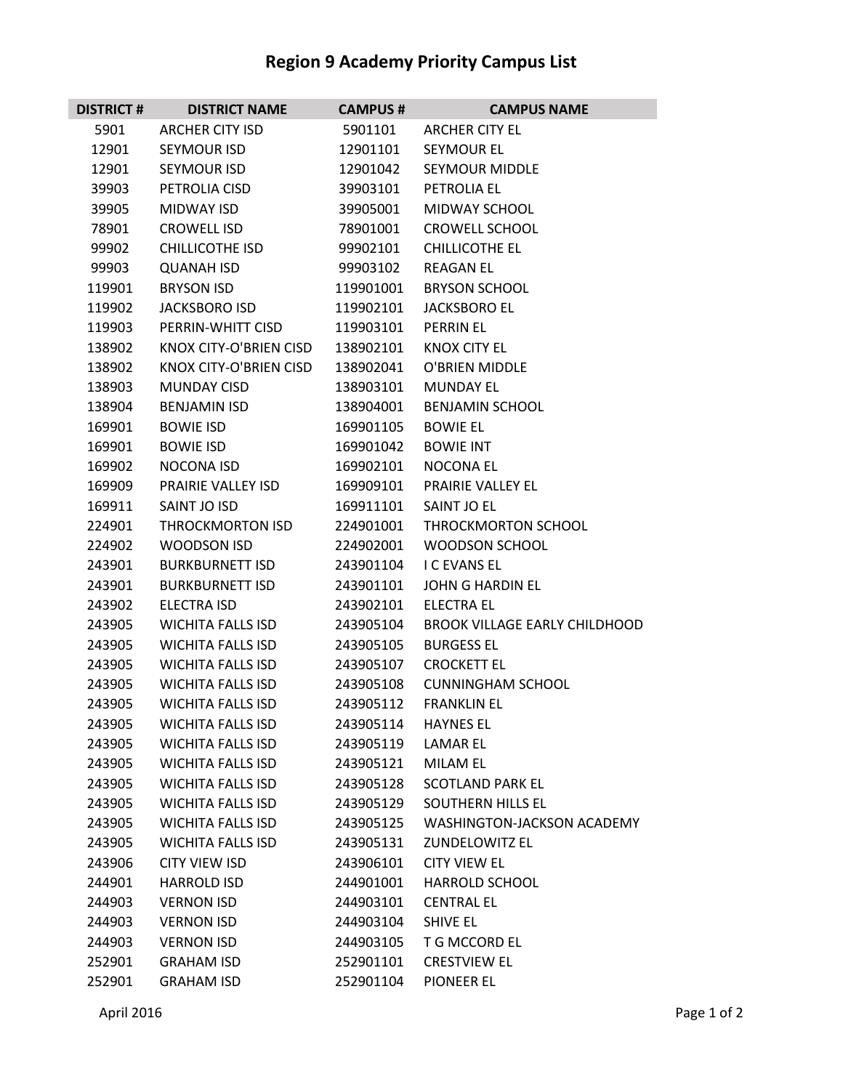## **Region 9 Academy Priority Campus List**

| <b>DISTRICT #</b> | <b>DISTRICT NAME</b>     | <b>CAMPUS#</b> | <b>CAMPUS NAME</b>                   |
|-------------------|--------------------------|----------------|--------------------------------------|
| 5901              | <b>ARCHER CITY ISD</b>   | 5901101        | <b>ARCHER CITY EL</b>                |
| 12901             | SEYMOUR ISD              | 12901101       | <b>SEYMOUR EL</b>                    |
| 12901             | SEYMOUR ISD              | 12901042       | <b>SEYMOUR MIDDLE</b>                |
| 39903             | PETROLIA CISD            | 39903101       | PETROLIA EL                          |
| 39905             | <b>MIDWAY ISD</b>        | 39905001       | MIDWAY SCHOOL                        |
| 78901             | <b>CROWELL ISD</b>       | 78901001       | <b>CROWELL SCHOOL</b>                |
| 99902             | <b>CHILLICOTHE ISD</b>   | 99902101       | <b>CHILLICOTHE EL</b>                |
| 99903             | <b>QUANAH ISD</b>        | 99903102       | <b>REAGAN EL</b>                     |
| 119901            | <b>BRYSON ISD</b>        | 119901001      | <b>BRYSON SCHOOL</b>                 |
| 119902            | JACKSBORO ISD            | 119902101      | <b>JACKSBORO EL</b>                  |
| 119903            | PERRIN-WHITT CISD        | 119903101      | <b>PERRIN EL</b>                     |
| 138902            | KNOX CITY-O'BRIEN CISD   | 138902101      | <b>KNOX CITY EL</b>                  |
| 138902            | KNOX CITY-O'BRIEN CISD   | 138902041      | O'BRIEN MIDDLE                       |
| 138903            | <b>MUNDAY CISD</b>       | 138903101      | <b>MUNDAY EL</b>                     |
| 138904            | <b>BENJAMIN ISD</b>      | 138904001      | <b>BENJAMIN SCHOOL</b>               |
| 169901            | <b>BOWIE ISD</b>         | 169901105      | <b>BOWIE EL</b>                      |
| 169901            | <b>BOWIE ISD</b>         | 169901042      | <b>BOWIE INT</b>                     |
| 169902            | NOCONA ISD               | 169902101      | NOCONA EL                            |
| 169909            | PRAIRIE VALLEY ISD       | 169909101      | PRAIRIE VALLEY EL                    |
| 169911            | SAINT JO ISD             | 169911101      | SAINT JO EL                          |
| 224901            | <b>THROCKMORTON ISD</b>  | 224901001      | THROCKMORTON SCHOOL                  |
| 224902            | WOODSON ISD              | 224902001      | <b>WOODSON SCHOOL</b>                |
| 243901            | <b>BURKBURNETT ISD</b>   | 243901104      | <b>I C EVANS EL</b>                  |
| 243901            | <b>BURKBURNETT ISD</b>   | 243901101      | <b>JOHN G HARDIN EL</b>              |
| 243902            | <b>ELECTRA ISD</b>       | 243902101      | <b>ELECTRA EL</b>                    |
| 243905            | <b>WICHITA FALLS ISD</b> | 243905104      | <b>BROOK VILLAGE EARLY CHILDHOOD</b> |
| 243905            | <b>WICHITA FALLS ISD</b> | 243905105      | <b>BURGESS EL</b>                    |
| 243905            | <b>WICHITA FALLS ISD</b> | 243905107      | <b>CROCKETT EL</b>                   |
| 243905            | <b>WICHITA FALLS ISD</b> | 243905108      | <b>CUNNINGHAM SCHOOL</b>             |
| 243905            | <b>WICHITA FALLS ISD</b> | 243905112      | <b>FRANKLIN EL</b>                   |
| 243905            | <b>WICHITA FALLS ISD</b> | 243905114      | <b>HAYNES EL</b>                     |
| 243905            | <b>WICHITA FALLS ISD</b> | 243905119      | LAMAR EL                             |
| 243905            | <b>WICHITA FALLS ISD</b> | 243905121      | <b>MILAM EL</b>                      |
| 243905            | <b>WICHITA FALLS ISD</b> | 243905128      | <b>SCOTLAND PARK EL</b>              |
| 243905            | <b>WICHITA FALLS ISD</b> | 243905129      | SOUTHERN HILLS EL                    |
| 243905            | <b>WICHITA FALLS ISD</b> | 243905125      | WASHINGTON-JACKSON ACADEMY           |
| 243905            | <b>WICHITA FALLS ISD</b> | 243905131      | <b>ZUNDELOWITZ EL</b>                |
| 243906            | CITY VIEW ISD            | 243906101      | <b>CITY VIEW EL</b>                  |
| 244901            | <b>HARROLD ISD</b>       | 244901001      | <b>HARROLD SCHOOL</b>                |
| 244903            | <b>VERNON ISD</b>        | 244903101      | <b>CENTRAL EL</b>                    |
| 244903            | <b>VERNON ISD</b>        | 244903104      | <b>SHIVE EL</b>                      |
| 244903            | <b>VERNON ISD</b>        | 244903105      | T G MCCORD EL                        |
| 252901            | <b>GRAHAM ISD</b>        | 252901101      | <b>CRESTVIEW EL</b>                  |
| 252901            | <b>GRAHAM ISD</b>        | 252901104      | <b>PIONEER EL</b>                    |